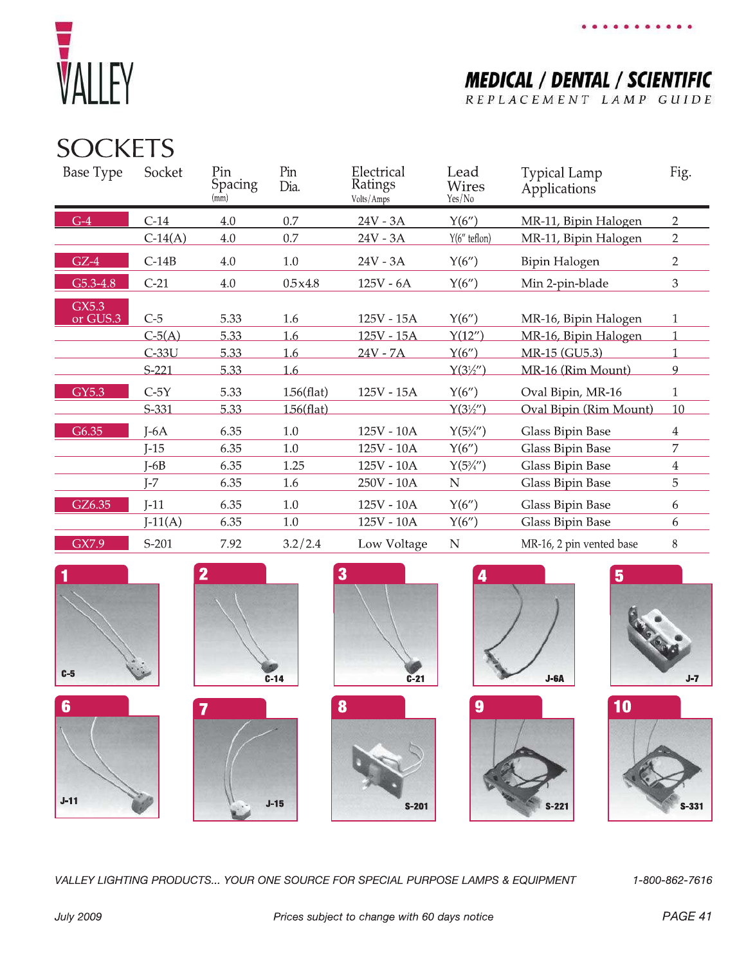

**MEDICAL / DENTAL / SCIENTIFIC** REPLACEMENT LAMP GUIDE

## **SOCKETS**

| Base Type | Socket    | Pin<br><b>Spacing</b><br>(mm) | Pin<br>Dia.   | Electrical<br>Ratings<br>Volts/Amps | Lead<br><b>Wires</b><br>Yes/No | <b>Typical Lamp</b><br>Applications | Fig.           |
|-----------|-----------|-------------------------------|---------------|-------------------------------------|--------------------------------|-------------------------------------|----------------|
| $G-4$     | $C-14$    | 4.0                           | 0.7           | 24V - 3A                            | Y(6'')                         | MR-11, Bipin Halogen                | $\overline{2}$ |
|           | $C-14(A)$ | 4.0                           | 0.7           | $24V - 3A$                          | $Y(6"$ teflon)                 | MR-11, Bipin Halogen                | $\overline{2}$ |
| $GZ-4$    | $C-14B$   | 4.0                           | 1.0           | $24V - 3A$                          | Y(6'')                         | Bipin Halogen                       | $\overline{2}$ |
| G5.3-4.8  | $C-21$    | 4.0                           | 0.5x4.8       | $125V - 6A$                         | Y(6'')                         | Min 2-pin-blade                     | 3              |
| GX5.3     |           |                               |               |                                     |                                |                                     |                |
| or GUS.3  | $C-5$     | 5.33                          | 1.6           | 125V - 15A                          | Y(6'')                         | MR-16, Bipin Halogen                | $\mathbf{1}$   |
|           | $C-5(A)$  | 5.33                          | 1.6           | 125V - 15A                          | Y(12'')                        | MR-16, Bipin Halogen                |                |
|           | $C-33U$   | 5.33                          | 1.6           | $24V - 7A$                          | Y(6'')                         | MR-15 (GU5.3)                       |                |
|           | $S-221$   | 5.33                          | 1.6           |                                     | $Y(3\frac{1}{2})'$             | MR-16 (Rim Mount)                   | 9              |
| GY5.3     | $C-5Y$    | 5.33                          | $1.56$ (flat) | 125V - 15A                          | Y(6'')                         | Oval Bipin, MR-16                   |                |
|           | $S-331$   | 5.33                          | 156(flat)     |                                     | $Y(3\frac{1}{2})'$             | Oval Bipin (Rim Mount)              | 10             |
| G6.35     | $I-6A$    | 6.35                          | 1.0           | 125V - 10A                          | $Y(5\frac{3}{4})'$             | Glass Bipin Base                    | 4              |
|           | $J-15$    | 6.35                          | 1.0           | 125V - 10A                          | Y(6'')                         | Glass Bipin Base                    | 7              |
|           | $I-6B$    | 6.35                          | 1.25          | 125V - 10A                          | $Y(5\frac{3}{4})'$             | Glass Bipin Base                    | 4              |
|           | $J-7$     | 6.35                          | 1.6           | 250V - 10A                          | ${\bf N}$                      | Glass Bipin Base                    | 5              |
| GZ6.35    | $J-11$    | 6.35                          | 1.0           | 125V - 10A                          | Y(6'')                         | <b>Glass Bipin Base</b>             | 6              |
|           | $J-11(A)$ | 6.35                          | 1.0           | 125V - 10A                          | Y(6'')                         | <b>Glass Bipin Base</b>             | 6              |
| GX7.9     | $S-201$   | 7.92                          | 3.2/2.4       | Low Voltage                         | N                              | MR-16, 2 pin vented base            | 8              |





 $J-15$ 













VALLEY LIGHTING PRODUCTS... YOUR ONE SOURCE FOR SPECIAL PURPOSE LAMPS & EQUIPMENT

1-800-862-7616